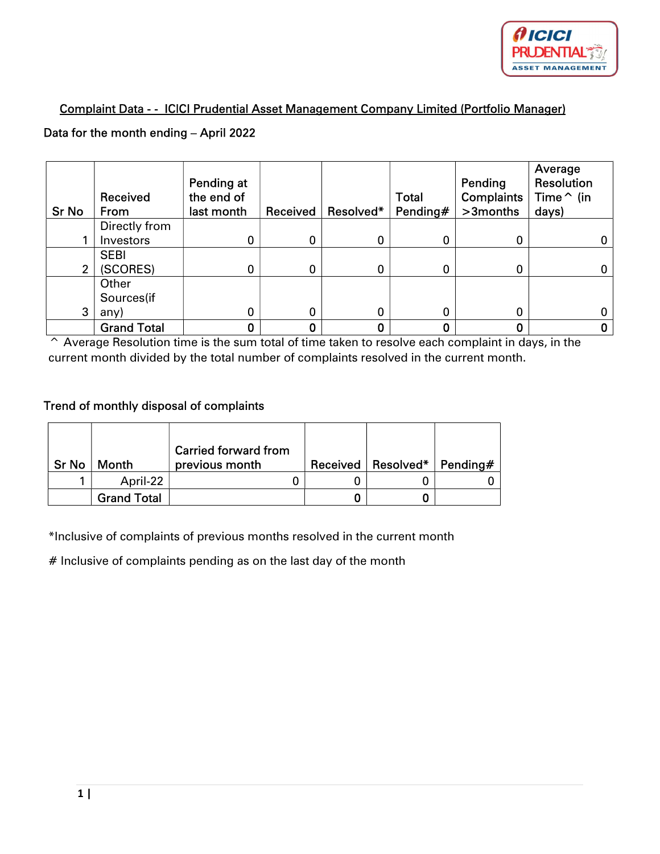

## Complaint Data - - ICICI Prudential Asset Management Company Limited (Portfolio Manager)

## Data for the month ending – April 2022

| <b>Sr No</b> | Received<br>From   | Pending at<br>the end of<br>last month | Received | Resolved* | <b>Total</b><br>Pending $#$ | Pending<br><b>Complaints</b><br>>3months | Average<br><b>Resolution</b><br>Time $\hat{}$ (in<br>days) |
|--------------|--------------------|----------------------------------------|----------|-----------|-----------------------------|------------------------------------------|------------------------------------------------------------|
|              | Directly from      |                                        |          |           |                             |                                          |                                                            |
|              | Investors          | 0                                      | 0        | 0         | 0                           | 0                                        |                                                            |
|              | <b>SEBI</b>        |                                        |          |           |                             |                                          |                                                            |
| 2            | (SCORES)           | 0                                      | 0        | 0         | 0                           | 0                                        |                                                            |
|              | Other              |                                        |          |           |                             |                                          |                                                            |
|              | Sources(if         |                                        |          |           |                             |                                          |                                                            |
| 3            | any)               | 0                                      | 0        | 0         | $\mathbf 0$                 | 0                                        |                                                            |
|              | <b>Grand Total</b> | 0                                      |          | 0         |                             | 0                                        |                                                            |

^ Average Resolution time is the sum total of time taken to resolve each complaint in days, in the current month divided by the total number of complaints resolved in the current month.

## Trend of monthly disposal of complaints

| <b>Sr No</b> | Month              | <b>Carried forward from</b><br>previous month | Received   Resolved* | Pending $\#$ |
|--------------|--------------------|-----------------------------------------------|----------------------|--------------|
|              | April-22           |                                               |                      |              |
|              | <b>Grand Total</b> |                                               |                      |              |

\*Inclusive of complaints of previous months resolved in the current month

 $#$  Inclusive of complaints pending as on the last day of the month